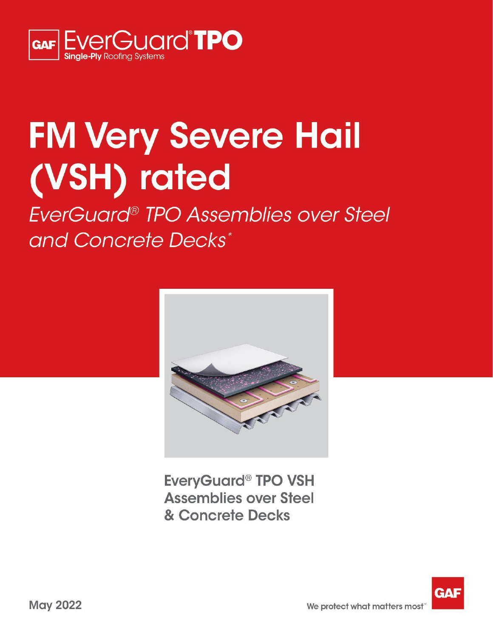

# **FM Very Severe Hail** (VSH) rated

EverGuard<sup>®</sup> TPO Assemblies over Steel and Concrete Decks\*



**EveryGuard<sup>®</sup> TPO VSH Assemblies over Steel** & Concrete Decks

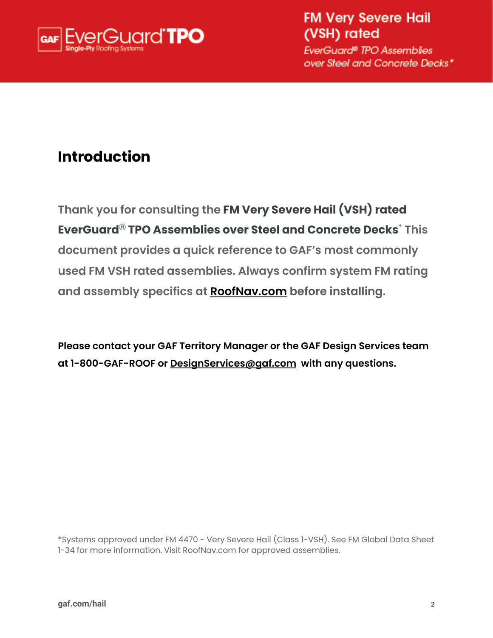

**FM Very Severe Hail** (VSH) rated

EverGuard® TPO Assemblies over Steel and Concrete Decks\*

# **Introduction**

**Thank you for consulting the FM Very Severe Hail (VSH) rated EverGuard** Ⓡ **TPO Assemblies over Steel and Concrete Decks \* This document provides a quick reference to GAF's most commonly used FM VSH rated assemblies. Always confirm system FM rating and assembly specifics at [RoofNav.com](https://www.roofnav.com/) before installing.**

**Please contact your GAF Territory Manager or the GAF Design Services team at 1-800-GAF-ROOF or [DesignServices@gaf.com](mailto:DesignServices@gaf.com) with any questions.**

\*Systems approved under FM 4470 - Very Severe Hail (Class 1-VSH). See FM Global Data Sheet 1-34 for more information. Visit RoofNav.com for approved assemblies.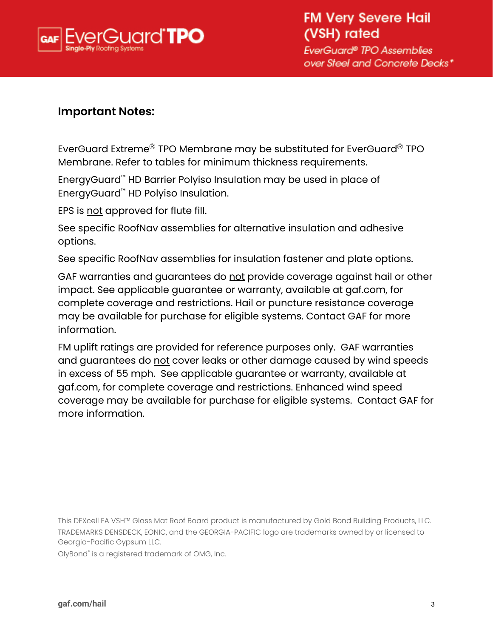

### **Important Notes:**

EverGuard Extreme $^\circledR$  TPO Membrane may be substituted for EverGuard $^\circledR$  TPO Membrane. Refer to tables for minimum thickness requirements.

EnergyGuard ™ HD Barrier Polyiso Insulation may be used in place of EnergyGuard ™ HD Polyiso Insulation.

EPS is not approved for flute fill.

See specific RoofNav assemblies for alternative insulation and adhesive options.

See specific RoofNav assemblies for insulation fastener and plate options.

GAF warranties and guarantees do not provide coverage against hail or other impact. See applicable guarantee or warranty, available at gaf.com, for complete coverage and restrictions. Hail or puncture resistance coverage may be available for purchase for eligible systems. Contact GAF for more information.

FM uplift ratings are provided for reference purposes only. GAF warranties and guarantees do not cover leaks or other damage caused by wind speeds in excess of 55 mph. See applicable guarantee or warranty, available at gaf.com, for complete coverage and restrictions. Enhanced wind speed coverage may be available for purchase for eligible systems. Contact GAF for more information.

This DEXcell FA VSH™ Glass Mat Roof Board product is manufactured by Gold Bond Building Products, LLC. TRADEMARKS DENSDECK, EONIC, and the GEORGIA-PACIFIC logo are trademarks owned by or licensed to Georgia-Pacific Gypsum LLC.

OlyBond ® is a registered trademark of OMG, Inc.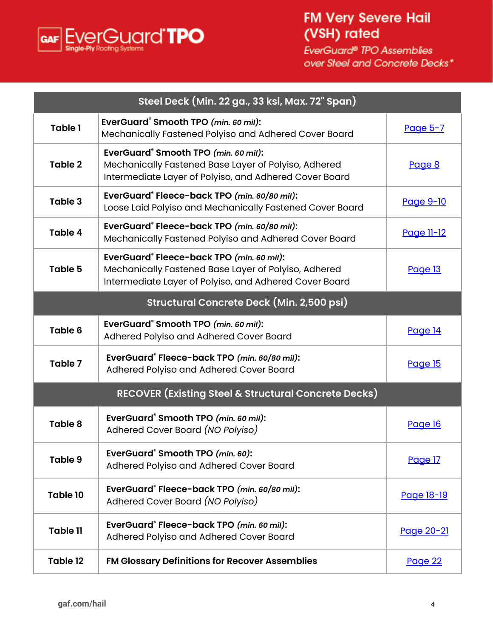

# **FM Very Severe Hail** (VSH) rated

|                                                  | Steel Deck (Min. 22 ga., 33 ksi, Max. 72" Span)                                                                                                                    |                   |  |  |  |
|--------------------------------------------------|--------------------------------------------------------------------------------------------------------------------------------------------------------------------|-------------------|--|--|--|
| <b>Table 1</b>                                   | EverGuard <sup>®</sup> Smooth TPO (min. 60 mil):<br>Mechanically Fastened Polyiso and Adhered Cover Board                                                          | Page 5-7          |  |  |  |
| Table 2                                          | EverGuard <sup>®</sup> Smooth TPO (min. 60 mil):<br>Mechanically Fastened Base Layer of Polyiso, Adhered<br>Intermediate Layer of Polyiso, and Adhered Cover Board | Page 8            |  |  |  |
| Table 3                                          | EverGuard® Fleece-back TPO (min. 60/80 mil):<br>Loose Laid Polyiso and Mechanically Fastened Cover Board                                                           | <u>Page 9-10</u>  |  |  |  |
| Table 4                                          | EverGuard® Fleece-back TPO (min. 60/80 mil):<br>Mechanically Fastened Polyiso and Adhered Cover Board                                                              | <u>Page 11-12</u> |  |  |  |
| <b>Table 5</b>                                   | EverGuard® Fleece-back TPO (min. 60 mil):<br>Mechanically Fastened Base Layer of Polyiso, Adhered<br>Intermediate Layer of Polyiso, and Adhered Cover Board        | Page 13           |  |  |  |
| <b>Structural Concrete Deck (Min. 2,500 psi)</b> |                                                                                                                                                                    |                   |  |  |  |
| Table 6                                          | EverGuard® Smooth TPO (min. 60 mil):<br>Adhered Polyiso and Adhered Cover Board                                                                                    | <b>Page 14</b>    |  |  |  |
| Table 7                                          | EverGuard® Fleece-back TPO (min. 60/80 mil):<br>Adhered Polyiso and Adhered Cover Board                                                                            | Page 15           |  |  |  |
|                                                  | <b>RECOVER (Existing Steel &amp; Structural Concrete Decks)</b>                                                                                                    |                   |  |  |  |
| Table 8                                          | EverGuard® Smooth TPO (min. 60 mil):<br>Adhered Cover Board (NO Polyiso)                                                                                           | Page 16           |  |  |  |
| <b>Table 9</b>                                   | EverGuard® Smooth TPO (min. 60):<br>Adhered Polyiso and Adhered Cover Board                                                                                        | Page 17           |  |  |  |
| Table 10                                         | EverGuard® Fleece-back TPO (min. 60/80 mil):<br>Adhered Cover Board (NO Polyiso)                                                                                   | Page 18-19        |  |  |  |
| <b>Table 11</b>                                  | EverGuard® Fleece-back TPO (min. 60 mil):<br>Adhered Polyiso and Adhered Cover Board                                                                               | Page 20-21        |  |  |  |
| Table 12                                         | FM Glossary Definitions for Recover Assemblies                                                                                                                     | Page 22           |  |  |  |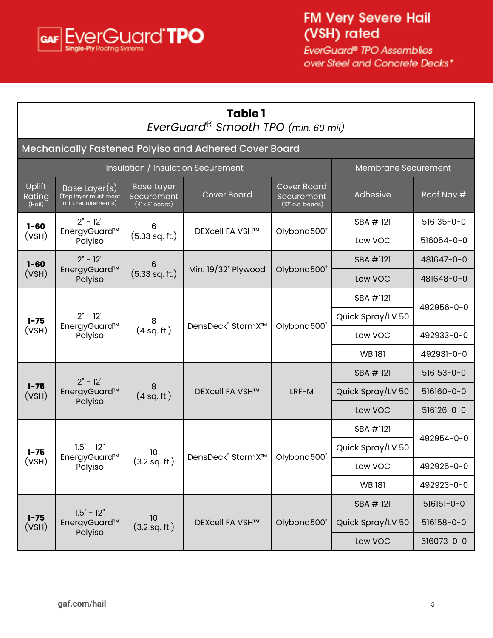<span id="page-4-0"></span>

| <b>Table 1</b><br>EverGuard <sup>®</sup> Smooth TPO (min. 60 mil) |                                                             |                                                                  |                                                       |                                                        |                     |                  |
|-------------------------------------------------------------------|-------------------------------------------------------------|------------------------------------------------------------------|-------------------------------------------------------|--------------------------------------------------------|---------------------|------------------|
|                                                                   |                                                             |                                                                  | Mechanically Fastened Polyiso and Adhered Cover Board |                                                        |                     |                  |
|                                                                   |                                                             |                                                                  | Insulation / Insulation Securement                    |                                                        | Membrane Securement |                  |
| Uplift<br>Rating<br>(Hail)                                        | Base Layer(s)<br>(Top layer must meet<br>min. requirements) | <b>Base Layer</b><br><b>Securement</b><br>$(4' \times 8'$ board) | <b>Cover Board</b>                                    | <b>Cover Board</b><br>Securement<br>$(12"$ o.c. beads) | Adhesive            | Roof Nav #       |
| $1 - 60$                                                          | $2" - 12"$<br>EnergyGuard™                                  | 6                                                                | DEXcell FA VSH™                                       | Olybond500°                                            | SBA #1121           | 516135-0-0       |
| (VSH)                                                             | Polyiso                                                     | $(5.33$ sq. ft.)                                                 |                                                       |                                                        | Low VOC             | 516054-0-0       |
| $1 - 60$                                                          | $2" - 12"$<br>EnergyGuard™                                  | 6                                                                | Min. $19/32$ " Plywood                                | Olybond500°                                            | SBA #1121           | 481647-0-0       |
| (VSH)                                                             | Polyiso                                                     | $(5.33$ sq. ft.)                                                 |                                                       |                                                        | Low VOC             | 481648-0-0       |
| $2" - 12"$<br>$1 - 75$                                            |                                                             |                                                                  |                                                       | SBA #1121                                              | 492956-0-0          |                  |
|                                                                   |                                                             | 8                                                                | DensDeck <sup>®</sup> StormX <sup>™</sup>             | Olybond500°                                            | Quick Spray/LV 50   |                  |
| (VSH)                                                             | EnergyGuard™<br>Polyiso                                     | (4 sq. ft.)                                                      |                                                       |                                                        | Low VOC             | 492933-0-0       |
|                                                                   |                                                             |                                                                  |                                                       |                                                        | <b>WB181</b>        | 492931-0-0       |
|                                                                   | $2" - 12"$                                                  |                                                                  |                                                       |                                                        | SBA #1121           | 516153-0-0       |
| $1 - 75$<br>(VSH)                                                 | EnergyGuard™<br>Polyiso                                     | 8<br>(4 sq. ft.)                                                 | <b>DEXcell FA VSH™</b>                                | LRF-M                                                  | Quick Spray/LV 50   | 516160-0-0       |
|                                                                   |                                                             |                                                                  |                                                       |                                                        | Low VOC             | 516126-0-0       |
|                                                                   |                                                             |                                                                  |                                                       |                                                        | SBA #1121           | 492954-0-0       |
| $1 - 75$                                                          | $1.5" - 12"$                                                | 10                                                               | DensDeck <sup>®</sup> StormX <sup>™</sup>             | Olybond500°                                            | Quick Spray/LV 50   |                  |
| (VSH)                                                             | EnergyGuard™<br>Polyiso                                     | $(3.2 \text{ sq. ft.})$                                          |                                                       |                                                        | Low VOC             | 492925-0-0       |
|                                                                   |                                                             |                                                                  |                                                       |                                                        | <b>WB181</b>        | 492923-0-0       |
|                                                                   |                                                             |                                                                  |                                                       |                                                        | SBA #1121           | $516151 - 0 - 0$ |
| $1 - 75$<br>(VSH)                                                 | EnergyGuard™                                                | $1.5" - 12"$<br>10<br>(3.2 sq. ft.)                              | DEXcell FA VSH™                                       | Olybond500°                                            | Quick Spray/LV 50   | 516158-0-0       |
|                                                                   | Polyiso                                                     |                                                                  |                                                       |                                                        | Low VOC             | 516073-0-0       |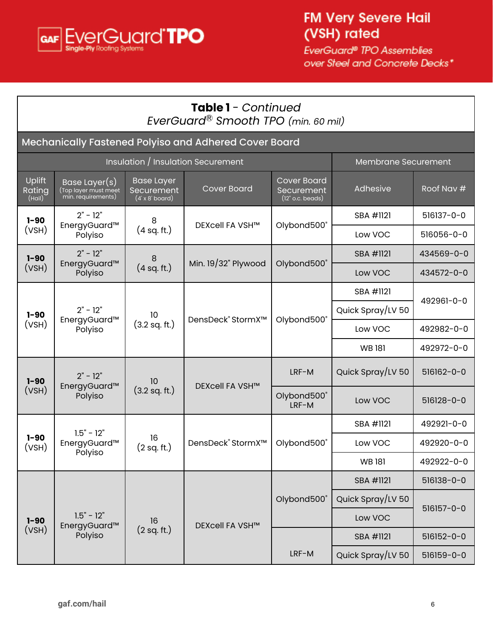

|                                   | <b>Table 1</b> - Continued<br>EverGuard <sup>®</sup> Smooth TPO (min. 60 mil) |                                                           |                                                       |                                                        |                     |                  |  |
|-----------------------------------|-------------------------------------------------------------------------------|-----------------------------------------------------------|-------------------------------------------------------|--------------------------------------------------------|---------------------|------------------|--|
|                                   |                                                                               |                                                           | Mechanically Fastened Polyiso and Adhered Cover Board |                                                        |                     |                  |  |
|                                   |                                                                               |                                                           | <b>Insulation / Insulation Securement</b>             |                                                        | Membrane Securement |                  |  |
| <b>Uplift</b><br>Rating<br>(Hail) | Base Layer(s)<br>Top layer must meet<br>min. requirements)                    | <b>Base Layer</b><br>Securement<br>$(4' \times 8'$ board) | <b>Cover Board</b>                                    | <b>Cover Board</b><br>Securement<br>$(12"$ o.c. beads) | Adhesive            | Roof Nav #       |  |
| $1 - 90$                          | $2" - 12"$                                                                    | 8                                                         | <b>DEXcell FA VSH™</b>                                |                                                        | SBA #1121           | 516137-0-0       |  |
| (VSH)                             | EnergyGuard™<br>Polyiso                                                       | (4 sq. ft.)                                               |                                                       | Olybond500°                                            | Low VOC             | 516056-0-0       |  |
| $1 - 90$                          | $2" - 12"$                                                                    | 8                                                         | Min. 19/32" Plywood                                   | Olybond500°                                            | SBA #1121           | 434569-0-0       |  |
| (VSH)                             | EnergyGuard™<br>Polyiso                                                       | (4 sq. ft.)                                               |                                                       |                                                        | Low VOC             | 434572-0-0       |  |
|                                   | $2" - 12"$<br>$1 - 90$                                                        | 10<br>EnergyGuard™<br>(3.2 sq. ft.)<br>Polyiso            | DensDeck <sup>®</sup> StormX™                         |                                                        | SBA #1121           | 492961-0-0       |  |
|                                   |                                                                               |                                                           |                                                       | Olybond500°                                            | Quick Spray/LV 50   |                  |  |
| (VSH)                             |                                                                               |                                                           |                                                       |                                                        | Low VOC             | 492982-0-0       |  |
|                                   |                                                                               |                                                           |                                                       |                                                        | <b>WB181</b>        | 492972-0-0       |  |
| $1 - 90$                          | $2" - 12"$<br>EnergyGuard™                                                    | 10                                                        | DEXcell FA VSH™<br>$(3.2 \text{ sq. ft.})$            | LRF-M                                                  | Quick Spray/LV 50   | 516162-0-0       |  |
| (VSH)                             | Polyiso                                                                       |                                                           |                                                       | Olybond500°<br>LRF-M                                   | Low VOC             | $516128 - 0 - 0$ |  |
|                                   | $1.5" - 12"$                                                                  |                                                           |                                                       |                                                        | SBA #1121           | 492921-0-0       |  |
| $1 - 90$<br>(VSH)                 | EnergyGuard™<br>Polyiso                                                       | 16<br>(2 sq. ft.)                                         | DensDeck <sup>®</sup> StormX <sup>™</sup>             | Olybond500®                                            | Low VOC             | 492920-0-0       |  |
|                                   |                                                                               |                                                           |                                                       |                                                        | <b>WB181</b>        | 492922-0-0       |  |
|                                   |                                                                               |                                                           |                                                       |                                                        | SBA #1121           | 516138-0-0       |  |
|                                   |                                                                               |                                                           |                                                       | Olybond500®                                            | Quick Spray/LV 50   | 516157-0-0       |  |
| $1 - 90$                          | $1.5" - 12"$<br>EnergyGuard™                                                  | 16                                                        | DEXcell FA VSH™                                       |                                                        | Low VOC             |                  |  |
| (VSH)                             | Polyiso                                                                       | (2 sq. ft.)                                               |                                                       |                                                        | SBA #1121           | 516152-0-0       |  |
|                                   |                                                                               |                                                           |                                                       | LRF-M                                                  | Quick Spray/LV 50   | 516159-0-0       |  |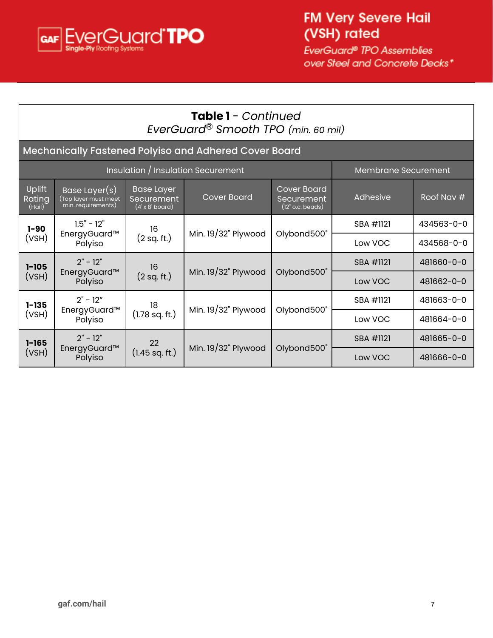

|                                                                                                                                                                                                                                        | <b>Table 1</b> - Continued<br>EverGuard <sup>®</sup> Smooth TPO (min. 60 mil) |                          |                                                       |             |                     |            |  |
|----------------------------------------------------------------------------------------------------------------------------------------------------------------------------------------------------------------------------------------|-------------------------------------------------------------------------------|--------------------------|-------------------------------------------------------|-------------|---------------------|------------|--|
|                                                                                                                                                                                                                                        |                                                                               |                          | Mechanically Fastened Polyiso and Adhered Cover Board |             |                     |            |  |
|                                                                                                                                                                                                                                        |                                                                               |                          | Insulation / Insulation Securement                    |             | Membrane Securement |            |  |
| Uplift<br><b>Cover Board</b><br><b>Base Layer</b><br>Base Layer(s)<br><b>Cover Board</b><br>(Top layer must meet<br>Rating<br>Securement<br>Securement<br>min. requirements)<br>$(4' \times 8'$ board)<br>$(12"$ o.c. beads)<br>(Hail) |                                                                               |                          |                                                       |             | Adhesive            | Roof Nav # |  |
| $1 - 90$                                                                                                                                                                                                                               | $1.5" - 12"$                                                                  | 16                       | Min. $19/32$ " Plywood                                |             | SBA #1121           | 434563-0-0 |  |
| (VSH)                                                                                                                                                                                                                                  | EnergyGuard™<br>Polyiso                                                       | (2 sq. ft.)              |                                                       | Olybond500° | Low VOC             | 434568-0-0 |  |
| $1 - 105$                                                                                                                                                                                                                              | $2" - 12"$                                                                    | 16                       |                                                       |             | SBA #1121           | 481660-0-0 |  |
| (VSH)                                                                                                                                                                                                                                  | EnergyGuard™<br>Polyiso                                                       | (2 sq. ft.)              | Min. $19/32$ " Plywood                                | Olybond500° | Low VOC             | 481662-0-0 |  |
| $1 - 135$                                                                                                                                                                                                                              | $2" - 12"$                                                                    | 18                       |                                                       | SBA #1121   | 481663-0-0          |            |  |
| (VSH)                                                                                                                                                                                                                                  | EnergyGuard™<br>Polyiso                                                       | $(1.78 \text{ sq. ft.})$ | Min. $19/32$ " Plywood                                | Olybond500° | Low VOC             | 481664-0-0 |  |
| $1 - 165$                                                                                                                                                                                                                              | $2" - 12"$                                                                    | 22                       |                                                       |             | SBA #1121           | 481665-0-0 |  |
| (VSH)                                                                                                                                                                                                                                  | EnergyGuard™<br>Polyiso                                                       | $(1.45$ sq. ft.)         | Min. 19/32" Plywood                                   | Olybond500° | Low VOC             | 481666-0-0 |  |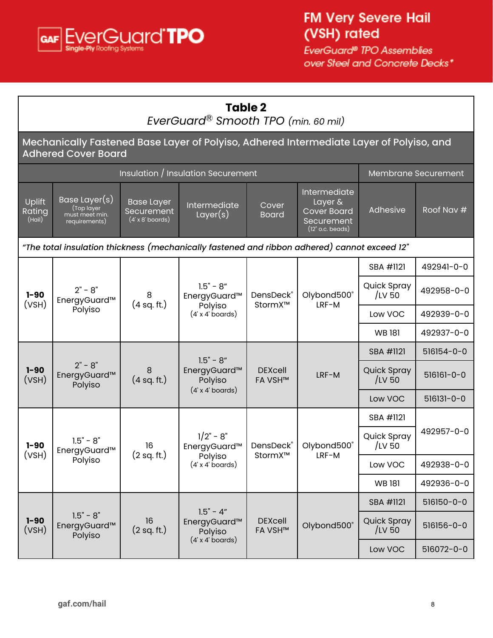<span id="page-7-0"></span>

| <b>Table 2</b><br>EverGuard® Smooth TPO (min. 60 mil) |                                                                                                                       |                                                            |                                                                   |                                  |                                                                                   |                            |            |
|-------------------------------------------------------|-----------------------------------------------------------------------------------------------------------------------|------------------------------------------------------------|-------------------------------------------------------------------|----------------------------------|-----------------------------------------------------------------------------------|----------------------------|------------|
|                                                       | Mechanically Fastened Base Layer of Polyiso, Adhered Intermediate Layer of Polyiso, and<br><b>Adhered Cover Board</b> |                                                            |                                                                   |                                  |                                                                                   |                            |            |
|                                                       |                                                                                                                       |                                                            | Insulation / Insulation Securement                                |                                  |                                                                                   | <b>Membrane Securement</b> |            |
| Uplift<br>Rating<br>(Hail)                            | Base Layer(s)<br>(Top layer)<br>must meet min.<br>requirements)                                                       | <b>Base Layer</b><br>Securement<br>$(4' \times 8'$ boards) | Intermediate<br>Layer(s)                                          | Cover<br><b>Board</b>            | Intermediate<br>Layer &<br><b>Cover Board</b><br>Securement<br>$(12"$ o.c. beads) | Adhesive                   | Roof Nav # |
|                                                       | "The total insulation thickness (mechanically fastened and ribbon adhered) cannot exceed 12"                          |                                                            |                                                                   |                                  |                                                                                   |                            |            |
|                                                       |                                                                                                                       |                                                            |                                                                   |                                  |                                                                                   | SBA #1121                  | 492941-0-0 |
| $1 - 90$<br>(VSH)                                     | $2" - 8"$<br>8<br>EnergyGuard™<br>(4 sq. ft.)<br>Polyiso                                                              | $1.5" - 8"$<br>EnergyGuard™                                | DensDeck®<br>StormX™                                              | Olybond500°<br>LRF-M             | Quick Spray<br>/LV 50                                                             | 492958-0-0                 |            |
|                                                       |                                                                                                                       |                                                            | Polyiso<br>$(4' \times 4'$ boards)                                |                                  |                                                                                   | Low VOC                    | 492939-0-0 |
|                                                       |                                                                                                                       |                                                            |                                                                   |                                  |                                                                                   | <b>WB181</b>               | 492937-0-0 |
|                                                       |                                                                                                                       |                                                            | $1.5" - 8"$                                                       |                                  | <b>DEXcell</b><br>LRF-M<br><b>FA VSH™</b>                                         | SBA #1121                  | 516154-0-0 |
| $1 - 90$<br>(VSH)                                     | $2" - 8"$<br>EnergyGuard™<br>Polyiso                                                                                  | 8<br>(4 sq. ft.)                                           | EnergyGuard™<br>Polyiso<br>$(4' \times 4'$ boards)                |                                  |                                                                                   | Quick Spray<br>$/$ LV 50   | 516161-0-0 |
|                                                       |                                                                                                                       |                                                            |                                                                   |                                  |                                                                                   | Low VOC                    | 516131-0-0 |
|                                                       |                                                                                                                       |                                                            |                                                                   |                                  |                                                                                   | SBA #1121                  |            |
| $1 - 90$<br>(VSH)                                     | $1.5" - 8"$<br>EnergyGuard™                                                                                           | 16<br>(2 sq. ft.)                                          | $1/2" - 8"$<br>EnergyGuard™                                       | DensDeck®<br>StormX™             | Olybond500°                                                                       | Quick Spray<br>/LV 50      | 492957-0-0 |
|                                                       | Polyiso                                                                                                               |                                                            | Polyiso<br>(4' x 4' boards)                                       |                                  | LRF-M                                                                             | Low VOC                    | 492938-0-0 |
|                                                       |                                                                                                                       |                                                            |                                                                   |                                  |                                                                                   | <b>WB181</b>               | 492936-0-0 |
|                                                       |                                                                                                                       |                                                            |                                                                   |                                  |                                                                                   | SBA #1121                  | 516150-0-0 |
| $1 - 90$<br>(VSH)                                     | $1.5" - 8"$<br>EnergyGuard™<br>Polyiso                                                                                | 16<br>(2 sq. ft.)                                          | $1.5" - 4"$<br>EnergyGuard™<br>Polyiso<br>$(4' \times 4'$ boards) | <b>DEXcell</b><br><b>FA VSH™</b> | Olybond500°                                                                       | Quick Spray<br>/LV 50      | 516156-0-0 |
|                                                       |                                                                                                                       |                                                            |                                                                   |                                  |                                                                                   | Low VOC                    | 516072-0-0 |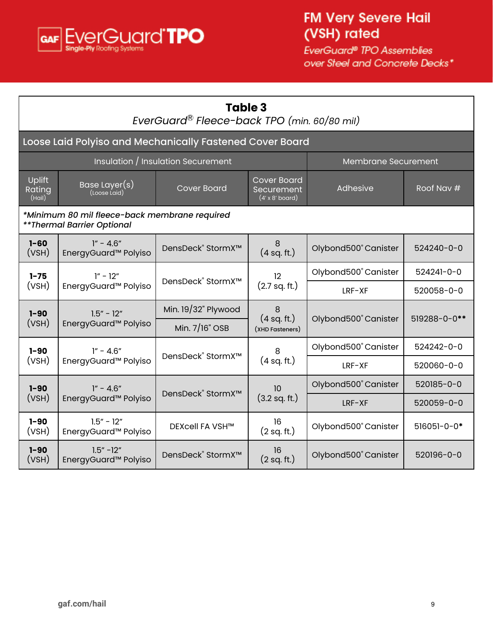<span id="page-8-0"></span>

| Table 3<br>EverGuard® Fleece-back TPO (min. 60/80 mil) |                                                                                                                                             |                                           |                                |                      |                   |  |
|--------------------------------------------------------|---------------------------------------------------------------------------------------------------------------------------------------------|-------------------------------------------|--------------------------------|----------------------|-------------------|--|
|                                                        | Loose Laid Polyiso and Mechanically Fastened Cover Board                                                                                    |                                           |                                |                      |                   |  |
|                                                        |                                                                                                                                             | Insulation / Insulation Securement        |                                | Membrane Securement  |                   |  |
| Uplift<br>Rating<br>(Hail)                             | <b>Cover Board</b><br>Base Layer(s)<br>Roof Nav #<br><b>Cover Board</b><br>Adhesive<br>Securement<br>(Loose Laid)<br>$(4' \times 8'$ board) |                                           |                                |                      |                   |  |
|                                                        | *Minimum 80 mil fleece-back membrane required<br>** Thermal Barrier Optional                                                                |                                           |                                |                      |                   |  |
| $1 - 60$<br>(VSH)                                      | $1'' - 4.6''$<br>EnergyGuard <sup>™</sup> Polyiso                                                                                           | DensDeck <sup>®</sup> StormX <sup>™</sup> | 8<br>(4 sq. ft.)               | Olybond500° Canister | $524240 - 0 - 0$  |  |
| $1 - 75$                                               | $1'' - 12''$                                                                                                                                | DensDeck® StormX™                         | 12                             |                      | 524241-0-0        |  |
| (VSH)                                                  | EnergyGuard <sup>™</sup> Polyiso                                                                                                            |                                           | (2.7 sq. ft.)                  | $LRF-XF$             | 520058-0-0        |  |
| $1 - 90$                                               | $1.5'' - 12''$                                                                                                                              | Min. $19/32$ " Plywood                    | 8                              |                      |                   |  |
| (VSH)                                                  | EnergyGuard <sup>™</sup> Polyiso                                                                                                            | Min. 7/16" OSB                            | (4 sq. ft.)<br>(XHD Fasteners) | Olybond500° Canister | 519288-0-0**      |  |
| $1 - 90$                                               | $1'' - 4.6''$                                                                                                                               | DensDeck <sup>®</sup> StormX™             | 8                              | Olybond500° Canister | 524242-0-0        |  |
| (VSH)                                                  | EnergyGuard <sup>™</sup> Polyiso                                                                                                            |                                           | (4 sq. ft.)                    | LRF-XF               | 520060-0-0        |  |
| $1 - 90$                                               | $1'' - 4.6''$                                                                                                                               | DensDeck <sup>®</sup> StormX <sup>™</sup> | 10                             | Olybond500° Canister | 520185-0-0        |  |
| (VSH)                                                  | EnergyGuard <sup>™</sup> Polyiso                                                                                                            |                                           | $(3.2 \text{ sq. ft.})$        | LRF-XF               | 520059-0-0        |  |
| $1 - 90$<br>(VSH)                                      | $1.5'' - 12''$<br>EnergyGuard <sup>™</sup> Polyiso                                                                                          | DEXcell FA VSH™                           | 16<br>(2 sq. ft.)              | Olybond500° Canister | $516051 - 0 - 0*$ |  |
| $1 - 90$<br>(VSH)                                      | $1.5'' - 12''$<br>EnergyGuard <sup>™</sup> Polyiso                                                                                          | DensDeck <sup>®</sup> StormX <sup>™</sup> | 16<br>(2 sq. ft.)              | Olybond500° Canister | 520196-0-0        |  |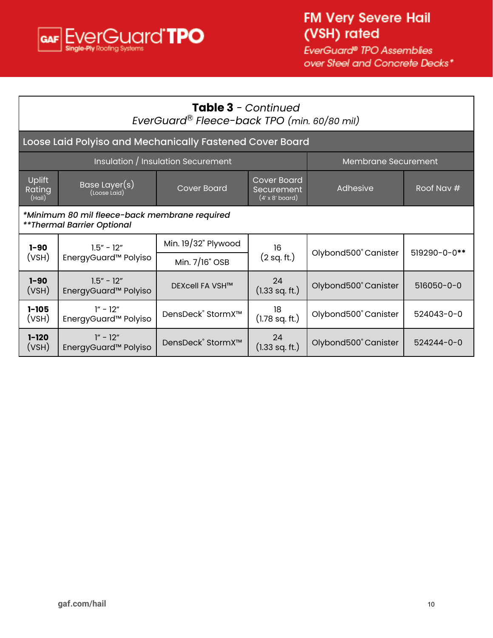

|                                   | <b>Table 3</b> - Continued<br>EverGuard® Fleece-back TPO (min. 60/80 mil)                                                                   |                                           |                        |                      |                  |  |  |
|-----------------------------------|---------------------------------------------------------------------------------------------------------------------------------------------|-------------------------------------------|------------------------|----------------------|------------------|--|--|
|                                   | Loose Laid Polyiso and Mechanically Fastened Cover Board                                                                                    |                                           |                        |                      |                  |  |  |
|                                   |                                                                                                                                             | <b>Insulation</b> / Insulation Securement |                        | Membrane Securement  |                  |  |  |
| <b>Uplift</b><br>Rating<br>(Hail) | <b>Cover Board</b><br>Base Layer(s)<br><b>Cover Board</b><br>Roof Nav #<br>Adhesive<br>Securement<br>(Loose Laid)<br>$(4' \times 8'$ board) |                                           |                        |                      |                  |  |  |
|                                   | *Minimum 80 mil fleece-back membrane required<br>**Thermal Barrier Optional                                                                 |                                           |                        |                      |                  |  |  |
| $1 - 90$                          | $1.5'' - 12''$                                                                                                                              | Min. 19/32" Plywood                       | 16                     |                      |                  |  |  |
| (VSH)                             | EnergyGuard <sup>™</sup> Polyiso                                                                                                            | Min. 7/16" OSB                            | (2 sq. ft.)            | Olybond500° Canister | 519290-0-0**     |  |  |
| $1 - 90$<br>(VSH)                 | $1.5" - 12"$<br>EnergyGuard <sup>™</sup> Polyiso                                                                                            | DEXcell FA VSH™                           | 24<br>$(1.33$ sq. ft.) | Olybond500° Canister | 516050-0-0       |  |  |
| $1 - 105$<br>(VSH)                | $1'' - 12''$<br>EnergyGuard <sup>™</sup> Polyiso                                                                                            | DensDeck® StormX™                         | 18<br>$(1.78$ sq. ft.) | Olybond500° Canister | 524043-0-0       |  |  |
| $1 - 120$<br>(VSH)                | $1'' - 12''$<br>EnergyGuard <sup>™</sup> Polyiso                                                                                            | DensDeck® StormX™                         | 24<br>$(1.33$ sq. ft.) | Olybond500° Canister | $524244 - 0 - 0$ |  |  |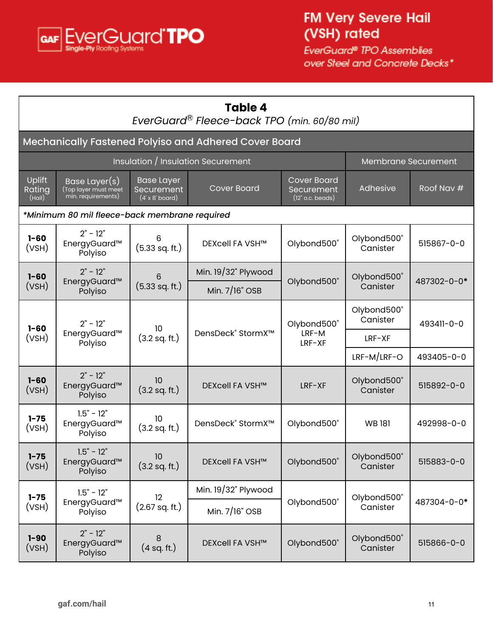<span id="page-10-0"></span>

|                                                                                                                                                                                                                                        | Table 4<br>EverGuard® Fleece-back TPO (min. 60/80 mil) |                               |                                                       |                 |                         |             |
|----------------------------------------------------------------------------------------------------------------------------------------------------------------------------------------------------------------------------------------|--------------------------------------------------------|-------------------------------|-------------------------------------------------------|-----------------|-------------------------|-------------|
|                                                                                                                                                                                                                                        |                                                        |                               | Mechanically Fastened Polyiso and Adhered Cover Board |                 |                         |             |
|                                                                                                                                                                                                                                        |                                                        |                               | Insulation / Insulation Securement                    |                 | Membrane Securement     |             |
| Uplift<br><b>Cover Board</b><br><b>Base Layer</b><br>Base Layer(s)<br><b>Cover Board</b><br>Rating<br>(Top layer must meet<br>min. requirements)<br>Securement<br>Securement<br>(Hail)<br>$(4' \times 8'$ board)<br>$(12"$ o.c. beads) |                                                        |                               |                                                       |                 | Adhesive                | Roof Nav #  |
|                                                                                                                                                                                                                                        | *Minimum 80 mil fleece-back membrane required          |                               |                                                       |                 |                         |             |
| $1 - 60$<br>(VSH)                                                                                                                                                                                                                      | $2" - 12"$<br>EnergyGuard™<br>Polyiso                  | 6<br>(5.33 sq. ft.)           | DEXcell FA VSH™                                       | Olybond500®     | Olybond500®<br>Canister | 515867-0-0  |
| $1 - 60$                                                                                                                                                                                                                               | $2" - 12"$                                             | 6                             | Min. 19/32" Plywood                                   |                 | Olybond500°             |             |
| (VSH)                                                                                                                                                                                                                                  | EnergyGuard™<br>Polyiso                                | $(5.33$ sq. ft.)              | Min. 7/16" OSB                                        | Olybond500®     | Canister                | 487302-0-0* |
| $2" - 12"$                                                                                                                                                                                                                             |                                                        | 10.                           |                                                       | Olybond500°     | Olybond500®<br>Canister | 493411-0-0  |
| $1 - 60$<br>(VSH)                                                                                                                                                                                                                      | EnergyGuard™<br>Polyiso                                | $(3.2 \text{ sq. ft.})$       | DensDeck <sup>®</sup> StormX <sup>™</sup>             | LRF-M<br>LRF-XF | LRF-XF                  |             |
|                                                                                                                                                                                                                                        |                                                        |                               |                                                       |                 | LRF-M/LRF-O             | 493405-0-0  |
| $1 - 60$<br>(VSH)                                                                                                                                                                                                                      | $2" - 12"$<br>EnergyGuard™<br>Polyiso                  | 10<br>$(3.2 \text{ sq. ft.})$ | <b>DEXcell FA VSH™</b>                                | LRF-XF          | Olybond500®<br>Canister | 515892-0-0  |
| $1 - 75$<br>(VSH)                                                                                                                                                                                                                      | $1.5" - 12"$<br>EnergyGuard™<br>Polyiso                | 10<br>$(3.2 \text{ sq. ft.})$ | DensDeck <sup>®</sup> StormX <sup>™</sup>             | Olybond500®     | <b>WB181</b>            | 492998-0-0  |
| $1 - 75$<br>(VSH)                                                                                                                                                                                                                      | $1.5" - 12"$<br>EnergyGuard™<br>Polyiso                | 10<br>$(3.2 \text{ sq. ft.})$ | DEXcell FA VSH™                                       | Olybond500®     | Olybond500°<br>Canister | 515883-0-0  |
| $1 - 75$                                                                                                                                                                                                                               | $1.5" - 12"$                                           | $12 \overline{ }$             | Min. 19/32" Plywood                                   |                 | Olybond500®             |             |
| (VSH)                                                                                                                                                                                                                                  | EnergyGuard™<br>Polyiso                                | $(2.67$ sq. ft.)              | Min. 7/16" OSB                                        | Olybond500®     | Canister                | 487304-0-0* |
| $1 - 90$<br>(VSH)                                                                                                                                                                                                                      | $2" - 12"$<br>EnergyGuard™<br>Polyiso                  | 8<br>(4 sq. ft.)              | DEXcell FA VSH™                                       | Olybond500°     | Olybond500°<br>Canister | 515866-0-0  |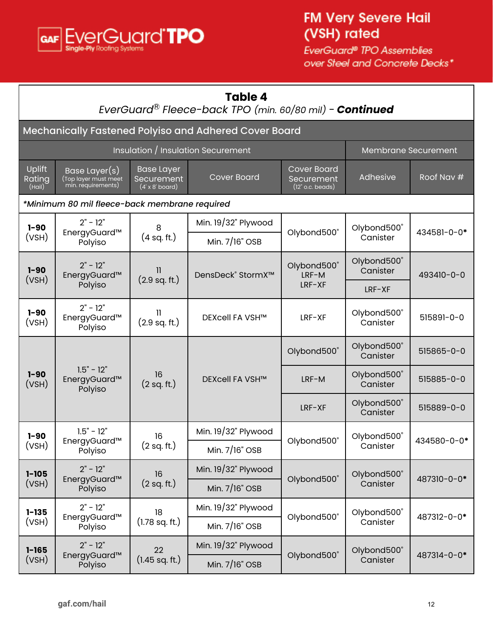

## **Table 4**

#### *EverGuard* Ⓡ *Fleece-back TPO (min. 60/80 mil)* - *Continued*

| Mechanically Fastened Polyiso and Adhered Cover Board |                                                                                                                                                                                                          |                               |                                    |                         |                         |                     |
|-------------------------------------------------------|----------------------------------------------------------------------------------------------------------------------------------------------------------------------------------------------------------|-------------------------------|------------------------------------|-------------------------|-------------------------|---------------------|
|                                                       |                                                                                                                                                                                                          |                               | Insulation / Insulation Securement |                         |                         | Membrane Securement |
| Uplift<br>Rating<br>(Hail)                            | <b>Cover Board</b><br><b>Base Layer</b><br>Base Layer(s)<br><b>Cover Board</b><br>(Top layer must meet<br>min. requirements)<br>Securement<br>Securement<br>$(4' \times 8'$ board)<br>$(12"$ o.c. beads) |                               |                                    |                         | Adhesive                | Roof Nav #          |
|                                                       | *Minimum 80 mil fleece-back membrane required                                                                                                                                                            |                               |                                    |                         |                         |                     |
| $1 - 90$                                              | $2" - 12"$                                                                                                                                                                                               | 8                             | Min. 19/32" Plywood                |                         | Olybond500°             | 434581-0-0*         |
| (VSH)                                                 | EnergyGuard™<br>Polyiso                                                                                                                                                                                  | (4 sq. ft.)                   | Min. 7/16" OSB                     | Olybond500®             | Canister                |                     |
| $1 - 90$<br>(VSH)                                     | $2" - 12"$<br>EnergyGuard™                                                                                                                                                                               | $\mathbf{1}$<br>(2.9 sq. ft.) | DensDeck® StormX™                  | Olybond500°<br>LRF-M    | Olybond500°<br>Canister | 493410-0-0          |
|                                                       | Polyiso                                                                                                                                                                                                  |                               |                                    | LRF-XF                  | $LRF-XF$                |                     |
| $1 - 90$<br>(VSH)                                     | $2" - 12"$<br>EnergyGuard™<br>Polyiso                                                                                                                                                                    | Ш<br>$(2.9 \text{ sq. ft.})$  | DEXcell FA VSH™                    | LRF-XF                  | Olybond500°<br>Canister | 515891-0-0          |
|                                                       |                                                                                                                                                                                                          |                               | Olybond500°                        | Olybond500°<br>Canister | 515865-0-0              |                     |
| $1 - 90$<br>(VSH)                                     | $1.5" - 12"$<br>EnergyGuard™<br>Polyiso                                                                                                                                                                  | 16<br>(2 sq. ft.)             | DEXcell FA VSH™                    | LRF-M                   | Olybond500°<br>Canister | 515885-0-0          |
|                                                       |                                                                                                                                                                                                          |                               |                                    | LRF-XF                  | Olybond500°<br>Canister | 515889-0-0          |
| $1 - 90$                                              | $1.5" - 12"$                                                                                                                                                                                             | 16                            | Min. 19/32" Plywood                |                         | Olybond500°             | 434580-0-0*         |
| (VSH)                                                 | EnergyGuard™<br>Polyiso                                                                                                                                                                                  | (2 sq. ft.)                   | Min. 7/16" OSB                     | Olybond500®             | Canister                |                     |
| $1 - 105$                                             | $2" - 12"$                                                                                                                                                                                               | 16                            | Min. 19/32" Plywood                |                         | Olybond500°             | 487310-0-0*         |
| (VSH)                                                 | EnergyGuard™<br>Polyiso                                                                                                                                                                                  | (2 sq. ft.)                   | Min. $7/16"$ OSB                   | Olybond500°             | Canister                |                     |
| $1 - 135$                                             | $2" - 12"$                                                                                                                                                                                               | 18                            | Min. 19/32" Plywood                | Olybond500®             | Olybond500°             | 487312-0-0*         |
| (VSH)                                                 | EnergyGuard™<br>Polyiso                                                                                                                                                                                  | $(1.78 \text{ sq. ft.})$      | Min. 7/16" OSB                     |                         | Canister                |                     |
| $1 - 165$                                             | $2" - 12"$<br>22                                                                                                                                                                                         |                               | Min. 19/32" Plywood                | Olybond500°             | Olybond500°             | 487314-0-0*         |
| (VSH)                                                 | EnergyGuard™<br>Polyiso                                                                                                                                                                                  | $(1.45 \text{ sq. ft.})$      | Min. 7/16" OSB                     |                         | Canister                |                     |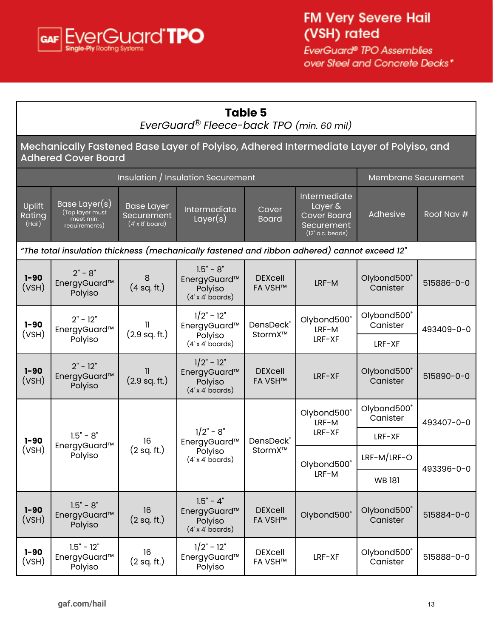<span id="page-12-0"></span>

| <b>Table 5</b><br>EverGuard <sup>®</sup> Fleece-back TPO (min. 60 mil) |                                                                                                                       |                                                           |                                                                    |                                  |                                                                                   |                         |            |                      |                         |            |
|------------------------------------------------------------------------|-----------------------------------------------------------------------------------------------------------------------|-----------------------------------------------------------|--------------------------------------------------------------------|----------------------------------|-----------------------------------------------------------------------------------|-------------------------|------------|----------------------|-------------------------|------------|
|                                                                        | Mechanically Fastened Base Layer of Polyiso, Adhered Intermediate Layer of Polyiso, and<br><b>Adhered Cover Board</b> |                                                           |                                                                    |                                  |                                                                                   |                         |            |                      |                         |            |
|                                                                        |                                                                                                                       |                                                           | Insulation / Insulation Securement                                 |                                  |                                                                                   | Membrane Securement     |            |                      |                         |            |
| Uplift<br>Rating<br>(Hail)                                             | Base Layer(s)<br>(Top layer must<br>meet min.<br>requirements)                                                        | <b>Base Layer</b><br>Securement<br>$(4' \times 8'$ board) | Intermediate<br>Layer(s)                                           | Cover<br><b>Board</b>            | Intermediate<br>Layer &<br><b>Cover Board</b><br>Securement<br>$(12"$ o.c. beads) | Adhesive                | Roof Nav # |                      |                         |            |
|                                                                        | "The total insulation thickness (mechanically fastened and ribbon adhered) cannot exceed 12"                          |                                                           |                                                                    |                                  |                                                                                   |                         |            |                      |                         |            |
| $1 - 90$<br>(VSH)                                                      | $2" - 8"$<br>EnergyGuard™<br>Polyiso                                                                                  | 8<br>(4 sq. ft.)                                          | $1.5" - 8"$<br>EnergyGuard™<br>Polyiso<br>$(4' \times 4'$ boards)  | <b>DEXcell</b><br><b>FA VSH™</b> | LRF-M                                                                             | Olybond500°<br>Canister | 515886-0-0 |                      |                         |            |
| $1 - 90$<br>(VSH)                                                      | $2" - 12"$<br>EnergyGuard™                                                                                            | 11<br>$(2.9 \text{ sq. ft.})$                             | $1/2" - 12"$<br>EnergyGuard™                                       | DensDeck®                        |                                                                                   | StormX™                 |            | Olybond500°<br>LRF-M | Olybond500®<br>Canister | 493409-0-0 |
|                                                                        | Polyiso                                                                                                               |                                                           | Polyiso<br>$(4' \times 4'$ boards)                                 |                                  | LRF-XF                                                                            | LRF-XF                  |            |                      |                         |            |
| $1 - 90$<br>(VSH)                                                      | $2" - 12"$<br>EnergyGuard™<br>Polyiso                                                                                 | $\mathbf{1}$<br>(2.9 sq. ft.)                             | $1/2" - 12"$<br>EnergyGuard™<br>Polyiso<br>$(4' \times 4'$ boards) | <b>DEXcell</b><br><b>FA VSH™</b> | LRF-XF                                                                            | Olybond500°<br>Canister | 515890-0-0 |                      |                         |            |
|                                                                        |                                                                                                                       |                                                           |                                                                    |                                  | Olybond500°<br>LRF-M                                                              | Olybond500°<br>Canister | 493407-0-0 |                      |                         |            |
| $1 - 90$                                                               | $1.5" - 8"$                                                                                                           | 16                                                        | $1/2" - 8"$<br>EnergyGuard™                                        | DensDeck®                        | LRF-XF                                                                            | LRF-XF                  |            |                      |                         |            |
| (VSH)                                                                  | EnergyGuard™<br>Polyiso                                                                                               | (2 sq. ft.)                                               | Polyiso<br>$(4 x 4$ boards)                                        | StormX™                          | Olybond500®                                                                       | $LRF-M/LRF-O$           | 493396-0-0 |                      |                         |            |
|                                                                        |                                                                                                                       |                                                           |                                                                    |                                  | LRF-M                                                                             | <b>WB181</b>            |            |                      |                         |            |
| $1 - 90$<br>(VSH)                                                      | $1.5" - 8"$<br>EnergyGuard™<br>Polyiso                                                                                | 16<br>(2 sq. ft.)                                         | $1.5" - 4"$<br>EnergyGuard™<br>Polyiso<br>$(4' \times 4'$ boards)  | <b>DEXcell</b><br><b>FA VSH™</b> | Olybond500®                                                                       | Olybond500®<br>Canister | 515884-0-0 |                      |                         |            |
| $1 - 90$<br>(VSH)                                                      | $1.5" - 12"$<br>EnergyGuard™<br>Polyiso                                                                               | 16<br>(2 sq. ft.)                                         | $1/2" - 12"$<br>EnergyGuard™<br>Polyiso                            | <b>DEXcell</b><br><b>FA VSH™</b> | LRF-XF                                                                            | Olybond500®<br>Canister | 515888-0-0 |                      |                         |            |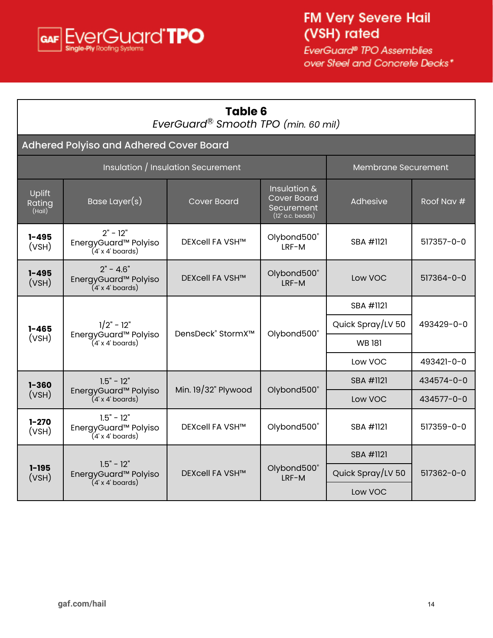<span id="page-13-0"></span>

| <b>Table 6</b><br>EverGuard® Smooth TPO (min. 60 mil) |                                                                                 |                                           |                                                                        |                            |            |  |  |
|-------------------------------------------------------|---------------------------------------------------------------------------------|-------------------------------------------|------------------------------------------------------------------------|----------------------------|------------|--|--|
|                                                       | Adhered Polyiso and Adhered Cover Board                                         |                                           |                                                                        |                            |            |  |  |
|                                                       |                                                                                 | Insulation / Insulation Securement        |                                                                        | <b>Membrane Securement</b> |            |  |  |
| Uplift<br>Rating<br>(Hail)                            | Base Layer(s)                                                                   | <b>Cover Board</b>                        | Insulation &<br><b>Cover Board</b><br>Securement<br>$(12"$ o.c. beads) | Adhesive                   | Roof Nav # |  |  |
| $1 - 495$<br>(VSH)                                    | $2" - 12"$<br>EnergyGuard <sup>™</sup> Polyiso<br>$(4 \times 4 \text{ boards})$ | <b>DEXcell FA VSH™</b>                    | Olybond500°<br>LRF-M                                                   | SBA #1121                  | 517357-0-0 |  |  |
| $1 - 495$<br>(VSH)                                    | $2" - 4.6"$<br>EnergyGuard <sup>™</sup> Polyiso<br>$(4 x 4$ boards)             | <b>DEXcell FA VSH™</b>                    | Olybond500°<br>IRF-M                                                   | Low VOC                    | 517364-0-0 |  |  |
|                                                       |                                                                                 |                                           |                                                                        | SBA #1121                  |            |  |  |
| $1 - 465$                                             | $1/2" - 12"$<br>EnergyGuard <sup>™</sup> Polyiso<br>$(4 x 4$ boards)            | DensDeck <sup>®</sup> StormX <sup>™</sup> | Olybond500°                                                            | Quick Spray/LV 50          | 493429-0-0 |  |  |
| (VSH)                                                 |                                                                                 |                                           |                                                                        | <b>WB181</b>               |            |  |  |
|                                                       |                                                                                 |                                           |                                                                        | Low VOC                    | 493421-0-0 |  |  |
| $1 - 360$                                             | $1.5" - 12"$                                                                    | Min. 19/32" Plywood                       | Olybond500°                                                            | SBA #1121                  | 434574-0-0 |  |  |
| (VSH)                                                 | EnergyGuard <sup>™</sup> Polyiso<br>$(4 x 4$ boards)                            |                                           |                                                                        | Low VOC                    | 434577-0-0 |  |  |
| $1 - 270$<br>(VSH)                                    | $1.5" - 12"$<br>EnergyGuard <sup>™</sup> Polyiso<br>$(4 x 4$ boards)            | <b>DEXcell FA VSH™</b>                    | Olybond500°                                                            | SBA #1121                  | 517359-0-0 |  |  |
|                                                       |                                                                                 |                                           |                                                                        | SBA #1121                  |            |  |  |
| $1 - 195$<br>(VSH)                                    | $1.5" - 12"$<br>EnergyGuard <sup>™</sup> Polyiso                                | <b>DEXcell FA VSH™</b>                    | Olybond500°<br>LRF-M                                                   | Quick Spray/LV 50          | 517362-0-0 |  |  |
|                                                       | $(4 x 4$ boards)                                                                |                                           |                                                                        | Low VOC                    |            |  |  |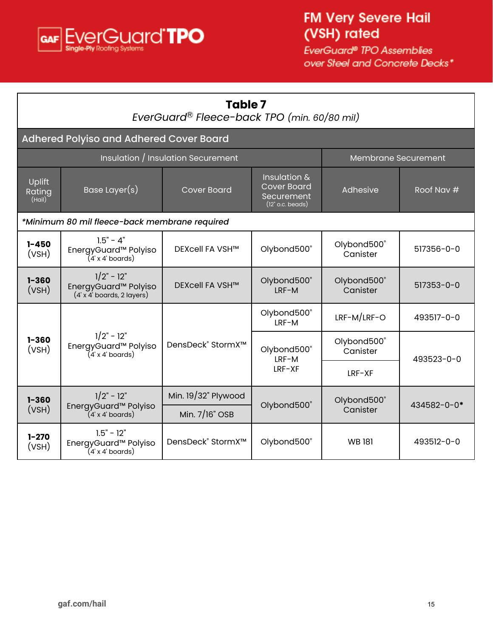<span id="page-14-0"></span>

| Table 7<br>EverGuard® Fleece-back TPO (min. 60/80 mil) |                                                                                 |                                           |                                                                        |                         |             |  |
|--------------------------------------------------------|---------------------------------------------------------------------------------|-------------------------------------------|------------------------------------------------------------------------|-------------------------|-------------|--|
|                                                        | Adhered Polyiso and Adhered Cover Board                                         |                                           |                                                                        |                         |             |  |
|                                                        |                                                                                 | <b>Insulation / Insulation Securement</b> |                                                                        | Membrane Securement     |             |  |
| Uplift<br>Rating<br>(Hail)                             | Base Layer(s)                                                                   | <b>Cover Board</b>                        | Insulation &<br><b>Cover Board</b><br>Securement<br>$(12"$ o.c. beads) | Adhesive                | Roof Nav #  |  |
|                                                        | *Minimum 80 mil fleece-back membrane required                                   |                                           |                                                                        |                         |             |  |
| $1 - 450$<br>(VSH)                                     | $1.5" - 4"$<br>EnergyGuard™ Polyiso<br>(4'x 4' boards)                          | <b>DEXcell FA VSH™</b>                    | Olybond500°                                                            | Olybond500°<br>Canister | 517356-0-0  |  |
| $1 - 360$<br>(VSH)                                     | $1/2" - 12"$<br>EnergyGuard <sup>™</sup> Polyiso<br>$(4 x 4'$ boards, 2 layers) | <b>DEXcell FA VSH™</b>                    | Olybond500°<br>LRF-M                                                   | Olybond500°<br>Canister | 517353-0-0  |  |
|                                                        |                                                                                 |                                           | Olybond500°<br>LRF-M                                                   | LRF-M/LRF-O             | 493517-0-0  |  |
| $1 - 360$<br>(VSH)                                     | $1/2" - 12"$<br>EnergyGuard <sup>™</sup> Polyiso<br>$(4' \times 4'$ boards)     | DensDeck <sup>®</sup> StormX™             | Olybond500°<br>LRF-M                                                   | Olybond500°<br>Canister | 493523-0-0  |  |
|                                                        |                                                                                 |                                           | $LRF-XF$                                                               | $LRF-XF$                |             |  |
| $1 - 360$                                              | $1/2" - 12"$                                                                    | Min. 19/32" Plywood                       | Olybond500°                                                            | Olybond500°             | 434582-0-0* |  |
| (VSH)                                                  | EnergyGuard <sup>™</sup> Polyiso<br>(4' x 4' boards)                            | Min. 7/16" OSB                            |                                                                        | Canister                |             |  |
| $1 - 270$<br>(VSH)                                     | $1.5" - 12"$<br>EnergyGuard <sup>™</sup> Polyiso<br>$(4 x 4 \text{ boards})$    | DensDeck® StormX™                         | Olybond500°                                                            | <b>WB181</b>            | 493512-0-0  |  |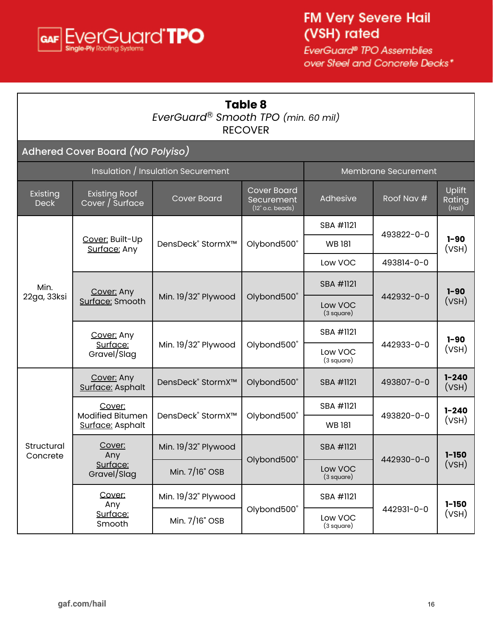<span id="page-15-0"></span>

Г

EverGuard® TPO Assemblies over Steel and Concrete Decks\*

٦

| <b>Table 8</b><br>EverGuard® Smooth TPO (min. 60 mil)<br><b>RECOVER</b> |                                             |                                                                                     |                                                          |                       |                     |                                        |
|-------------------------------------------------------------------------|---------------------------------------------|-------------------------------------------------------------------------------------|----------------------------------------------------------|-----------------------|---------------------|----------------------------------------|
|                                                                         | Adhered Cover Board (NO Polyiso)            |                                                                                     |                                                          |                       |                     |                                        |
|                                                                         |                                             | Insulation / Insulation Securement                                                  |                                                          |                       | Membrane Securement |                                        |
| Existing<br><b>Deck</b>                                                 | <b>Existing Roof</b><br>Cover / Surface     | <b>Cover Board</b><br><b>Cover Board</b><br><b>Securement</b><br>$(12"$ o.c. beads) |                                                          | Adhesive              | Roof Nav #          | Uplift<br>Rating<br>(Hail)             |
|                                                                         |                                             |                                                                                     | Olybond500®                                              | SBA #1121             | 493822-0-0          |                                        |
|                                                                         | Cover: Built-Up<br>Surface: Any             | DensDeck® StormX™                                                                   |                                                          | <b>WB181</b>          |                     | $1 - 90$<br>(VSH)                      |
|                                                                         |                                             |                                                                                     |                                                          | Low VOC               | 493814-0-0          |                                        |
| Min.<br>22ga, 33ksi                                                     | Cover: Any<br>Surface: Smooth               | Min. 19/32" Plywood                                                                 | Olybond500®                                              | SBA #1121             | 442932-0-0          | $1 - 90$<br>(VSH)<br>$1 - 90$<br>(VSH) |
|                                                                         |                                             |                                                                                     |                                                          | Low VOC<br>(3 square) |                     |                                        |
|                                                                         | Cover: Any<br>Surface:<br>Gravel/Slag       | Min. 19/32" Plywood                                                                 | Olybond500®                                              | SBA #1121             | 442933-0-0          |                                        |
|                                                                         |                                             |                                                                                     |                                                          | Low VOC<br>(3 square) |                     |                                        |
|                                                                         | Cover: Any<br>Surface: Asphalt              | DensDeck <sup>®</sup> StormX <sup>™</sup>                                           | Olybond500®                                              | SBA #1121             | 493807-0-0          | $1 - 240$<br>(VSH)                     |
|                                                                         | Cover:                                      |                                                                                     |                                                          | SBA #1121             |                     | $1 - 240$                              |
|                                                                         | <b>Modified Bitumen</b><br>Surface: Asphalt |                                                                                     | DensDeck <sup>®</sup> StormX <sup>™</sup><br>Olybond500® |                       | 493820-0-0          | (VSH)                                  |
| Structural<br>Concrete                                                  | Cover:<br>Any                               | Min. $19/32$ " Plywood                                                              | Olybond500°                                              | SBA #1121             | 442930-0-0          | $1 - 150$                              |
|                                                                         | Surface:<br>Gravel/Slag                     | Min. 7/16" OSB                                                                      |                                                          | Low VOC<br>(3 square) |                     | (VSH)                                  |
|                                                                         | Cover:<br>Any                               | Min. 19/32" Plywood                                                                 |                                                          | SBA #1121             |                     | $1 - 150$                              |
|                                                                         | Surface:<br>Smooth                          | Min. 7/16" OSB                                                                      | Olybond500°                                              | Low VOC<br>(3 square) | 442931-0-0          | (VSH)                                  |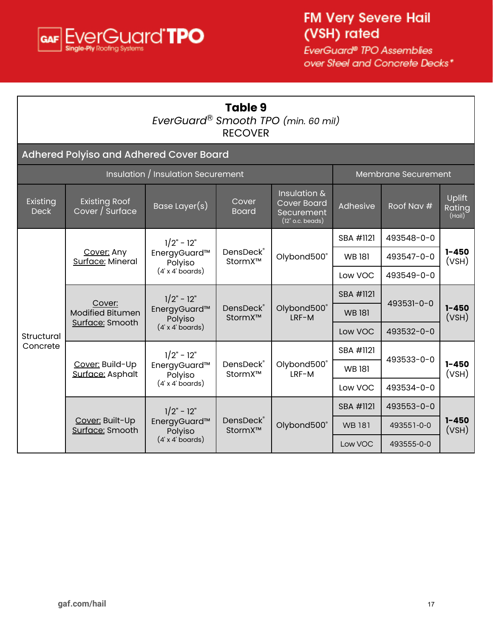<span id="page-16-0"></span>

٦

| <b>Table 9</b><br>EverGuard® Smooth TPO (min. 60 mil)<br><b>RECOVER</b> |                                                                                                                                                           |                                                                     |                       |                                                                        |              |            |                                          |
|-------------------------------------------------------------------------|-----------------------------------------------------------------------------------------------------------------------------------------------------------|---------------------------------------------------------------------|-----------------------|------------------------------------------------------------------------|--------------|------------|------------------------------------------|
|                                                                         | Adhered Polyiso and Adhered Cover Board                                                                                                                   |                                                                     |                       |                                                                        |              |            |                                          |
|                                                                         | Insulation / Insulation Securement<br>Membrane Securement                                                                                                 |                                                                     |                       |                                                                        |              |            |                                          |
| Existing<br><b>Deck</b>                                                 | <b>Existing Roof</b><br>Cover / Surface                                                                                                                   | Base Layer(s)                                                       | Cover<br><b>Board</b> | Insulation &<br><b>Cover Board</b><br>Securement<br>$(12"$ o.c. beads) | Adhesive     | Roof Nav # | <b>Uplift</b><br><b>Rating</b><br>(Hail) |
|                                                                         | Cover: Any<br>Surface: Mineral                                                                                                                            | $1/2" - 12"$<br>EnergyGuard™<br>Polyiso<br>$(4 x 4 \text{ boards})$ | DensDeck®<br>StormX™  | Olybond500®                                                            | SBA #1121    | 493548-0-0 | $1 - 450$<br>(VSH)                       |
|                                                                         |                                                                                                                                                           |                                                                     |                       |                                                                        | <b>WB181</b> | 493547-0-0 |                                          |
|                                                                         |                                                                                                                                                           |                                                                     |                       |                                                                        | Low VOC      | 493549-0-0 |                                          |
|                                                                         | Cover:<br><b>Modified Bitumen</b><br>Surface: Smooth                                                                                                      | $1/2" - 12"$<br>EnergyGuard™<br>Polyiso<br>$(4 x 4$ boards)         | DensDeck®<br>StormX™  | Olybond500°<br>LRF-M                                                   | SBA #1121    | 493531-0-0 |                                          |
|                                                                         |                                                                                                                                                           |                                                                     |                       |                                                                        | <b>WB181</b> |            | $1 - 450$<br>(VSH)                       |
| Structural                                                              |                                                                                                                                                           |                                                                     |                       |                                                                        | Low VOC      | 493532-0-0 |                                          |
| Concrete                                                                | $1/2" - 12"$<br>DensDeck®<br>Olybond500°<br>Cover: Build-Up<br>EnergyGuard™<br>LRF-M<br>Surface: Asphalt<br>StormX™<br>Polyiso<br>$(4' \times 4'$ boards) |                                                                     |                       |                                                                        | SBA #1121    | 493533-0-0 |                                          |
|                                                                         |                                                                                                                                                           |                                                                     |                       |                                                                        | <b>WB181</b> |            | $1 - 450$<br>(VSH)                       |
|                                                                         |                                                                                                                                                           | Low VOC                                                             | 493534-0-0            |                                                                        |              |            |                                          |
|                                                                         | Cover: Built-Up<br>Surface: Smooth                                                                                                                        | $1/2" - 12"$<br>EnergyGuard™<br>Polyiso                             | DensDeck®<br>StormX™  | Olybond500°                                                            | SBA #1121    | 493553-0-0 |                                          |
|                                                                         |                                                                                                                                                           |                                                                     |                       |                                                                        | <b>WB181</b> | 493551-0-0 | $1 - 450$<br>(VSH)                       |
|                                                                         |                                                                                                                                                           | $(4 x 4$ boards)                                                    |                       |                                                                        | Low VOC      | 493555-0-0 |                                          |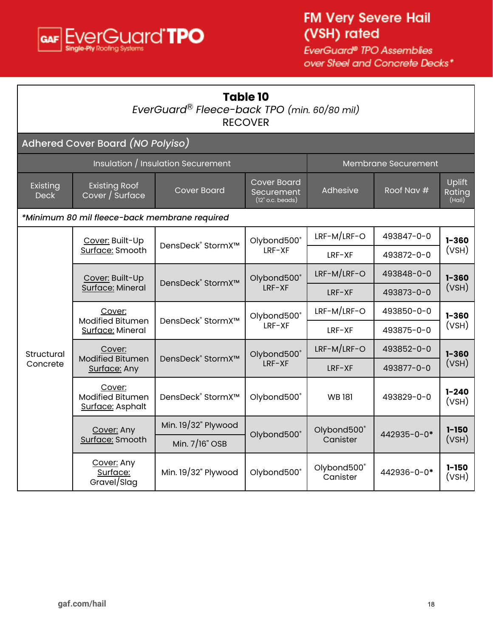<span id="page-17-0"></span>

| <b>Table 10</b><br>EverGuard <sup>®</sup> Fleece-back TPO (min. 60/80 mil)<br><b>RECOVER</b> |                                                       |                                           |                                                        |                         |             |                                          |  |  |
|----------------------------------------------------------------------------------------------|-------------------------------------------------------|-------------------------------------------|--------------------------------------------------------|-------------------------|-------------|------------------------------------------|--|--|
|                                                                                              | Adhered Cover Board (NO Polyiso)                      |                                           |                                                        |                         |             |                                          |  |  |
| Insulation / Insulation Securement<br>Membrane Securement                                    |                                                       |                                           |                                                        |                         |             |                                          |  |  |
| Existing<br><b>Deck</b>                                                                      | <b>Existing Roof</b><br>Cover / Surface               | <b>Cover Board</b>                        | <b>Cover Board</b><br>Securement<br>$(12"$ o.c. beads) | Adhesive                | Roof Nav #  | Uplift<br>Rating<br>(Hail)               |  |  |
|                                                                                              | *Minimum 80 mil fleece-back membrane required         |                                           |                                                        |                         |             |                                          |  |  |
|                                                                                              | Cover: Built-Up                                       | DensDeck <sup>®</sup> StormX <sup>™</sup> | Olybond500°<br>LRF-XF                                  | LRF-M/LRF-O             | 493847-0-0  | $1 - 360$<br>(VSH)<br>$1 - 360$<br>(VSH) |  |  |
|                                                                                              | Surface: Smooth                                       |                                           |                                                        | IRF-XF                  | 493872-0-0  |                                          |  |  |
|                                                                                              | Cover: Built-Up<br>Surface: Mineral                   | DensDeck <sup>®</sup> StormX <sup>™</sup> | Olybond500°<br>LRF-XF                                  | LRF-M/LRF-O             | 493848-0-0  |                                          |  |  |
|                                                                                              |                                                       |                                           |                                                        | LRF-XF                  | 493873-0-0  |                                          |  |  |
|                                                                                              | Cover:<br><b>Modified Bitumen</b><br>Surface: Mineral | DensDeck <sup>®</sup> StormX <sup>™</sup> | Olybond500°<br>LRF-XF                                  | LRF-M/LRF-O             | 493850-0-0  | $1 - 360$<br>(VSH)                       |  |  |
|                                                                                              |                                                       |                                           |                                                        | $LRF-XF$                | 493875-0-0  |                                          |  |  |
| Structural                                                                                   | Cover:<br><b>Modified Bitumen</b>                     | DensDeck <sup>®</sup> StormX <sup>™</sup> | Olybond500®                                            | LRF-M/LRF-O             | 493852-0-0  | $1 - 360$                                |  |  |
| Concrete                                                                                     | Surface: Any                                          | LRF-XF                                    |                                                        | LRF-XF                  | 493877-0-0  | (VSH)                                    |  |  |
|                                                                                              | Cover:<br><b>Modified Bitumen</b><br>Surface: Asphalt | DensDeck <sup>®</sup> StormX™             | Olybond500°                                            | <b>WB181</b>            | 493829-0-0  | $1 - 240$<br>(VSH)                       |  |  |
|                                                                                              | Cover: Any                                            | Min. 19/32" Plywood                       |                                                        | Olybond500®             |             | $1 - 150$                                |  |  |
|                                                                                              | Surface: Smooth                                       | Min. $7/16"$ OSB                          | Olybond500°                                            | Canister                | 442935-0-0* | (VSH)                                    |  |  |
|                                                                                              | Cover: Any<br>Surface:<br>Gravel/Slag                 | Min. 19/32" Plywood                       | Olybond500®                                            | Olybond500°<br>Canister | 442936-0-0* | $1 - 150$<br>(VSH)                       |  |  |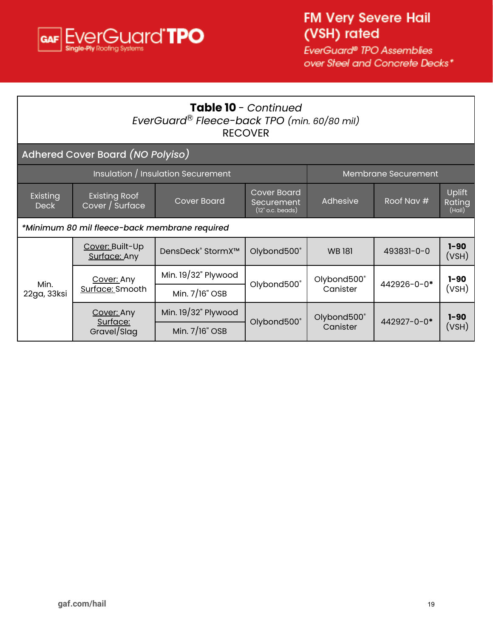

| Table 10 - Continued<br>EverGuard® Fleece-back TPO (min. 60/80 mil)<br><b>RECOVER</b> |                                                           |                               |                                                           |                         |             |                            |  |
|---------------------------------------------------------------------------------------|-----------------------------------------------------------|-------------------------------|-----------------------------------------------------------|-------------------------|-------------|----------------------------|--|
|                                                                                       | Adhered Cover Board (NO Polyiso)                          |                               |                                                           |                         |             |                            |  |
|                                                                                       | Insulation / Insulation Securement<br>Membrane Securement |                               |                                                           |                         |             |                            |  |
| Existing<br><b>Deck</b>                                                               | <b>Existing Roof</b><br>Cover / Surface                   | <b>Cover Board</b>            | <b>Cover Board</b><br>Securement<br>$(12"$ o.c. beads $)$ | Adhesive                | Roof Nav #  | Uplift<br>Rating<br>(Hail) |  |
|                                                                                       | *Minimum 80 mil fleece-back membrane required             |                               |                                                           |                         |             |                            |  |
|                                                                                       | Cover: Built-Up<br>Surface: Any                           | DensDeck® StormX <sup>™</sup> | Olybond500°                                               | <b>WB181</b>            | 493831-0-0  | $1 - 90$<br>(VSH)          |  |
| Min.<br>22ga, 33ksi                                                                   | Cover: Any<br>Surface: Smooth                             | Min. 19/32" Plywood           |                                                           | Olybond500®<br>Canister |             | $1 - 90$                   |  |
|                                                                                       |                                                           | Min. 7/16" OSB                | Olybond500°                                               |                         | 442926-0-0* | (VSH)                      |  |
|                                                                                       | Cover: Any                                                | Min. $19/32$ " Plywood        |                                                           | Olybond500®<br>Canister | 442927-0-0* | $1 - 90$                   |  |
|                                                                                       | Surface:<br>Gravel/Slag                                   | Min. 7/16" OSB                | Olybond500°                                               |                         |             | (VSH)                      |  |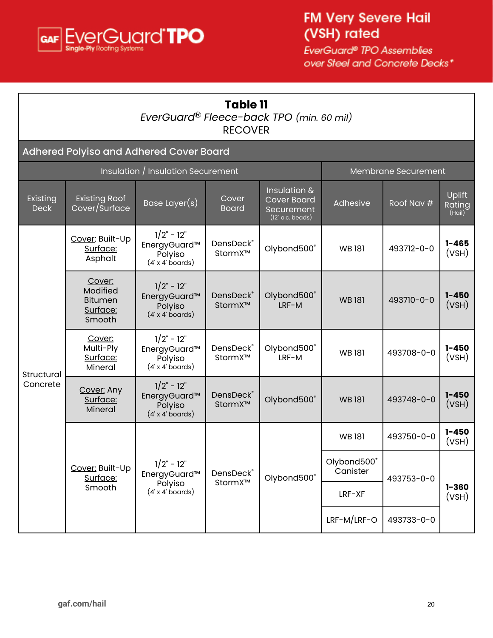<span id="page-19-0"></span>

## **Table 11** *EverGuard* Ⓡ *Fleece-back TPO (min. 60 mil)* RECOVER

#### Adhered Polyiso and Adhered Cover Board

| <b>Insulation / Insulation Securement</b> |                                                            |                                                                    |                       |                                                                        |                         | Membrane Securement |                            |
|-------------------------------------------|------------------------------------------------------------|--------------------------------------------------------------------|-----------------------|------------------------------------------------------------------------|-------------------------|---------------------|----------------------------|
| Existing<br><b>Deck</b>                   | <b>Existing Roof</b><br>Cover/Surface                      | Base Layer $(s)$                                                   | Cover<br><b>Board</b> | Insulation &<br><b>Cover Board</b><br>Securement<br>$(12"$ o.c. beads) | Adhesive                | Roof Nav #          | Uplift<br>Rating<br>(Hail) |
| Structural<br>Concrete                    | Cover: Built-Up<br>Surface:<br>Asphalt                     | $1/2" - 12"$<br>EnergyGuard™<br>Polyiso<br>$(4' \times 4'$ boards) | DensDeck®<br>StormX™  | Olybond500°                                                            | <b>WB181</b>            | 493712-0-0          | $1 - 465$<br>(VSH)         |
|                                           | Cover:<br>Modified<br><b>Bitumen</b><br>Surface:<br>Smooth | $1/2" - 12"$<br>EnergyGuard™<br>Polyiso<br>$(4' \times 4'$ boards) | DensDeck®<br>StormX™  | Olybond500®<br>LRF-M                                                   | <b>WB181</b>            | 493710-0-0          | $1 - 450$<br>(VSH)         |
|                                           | Cover:<br>Multi-Ply<br>Surface:<br>Mineral                 | $1/2" - 12"$<br>EnergyGuard™<br>Polyiso<br>$(4 x 4$ boards)        | DensDeck®<br>StormX™  | Olybond500°<br>LRF-M                                                   | <b>WB181</b>            | 493708-0-0          | $1 - 450$<br>(VSH)         |
|                                           | Cover: Any<br>Surface:<br>Mineral                          | $1/2" - 12"$<br>EnergyGuard™<br>Polyiso<br>$(4' \times 4'$ boards) | DensDeck®<br>StormX™  | Olybond500°                                                            | <b>WB181</b>            | 493748-0-0          | $1 - 450$<br>(VSH)         |
|                                           | Cover: Built-Up<br>Surface:                                |                                                                    | DensDeck®<br>StormX™  | Olybond500®                                                            | <b>WB181</b>            | 493750-0-0          | $1 - 450$<br>(VSH)         |
|                                           |                                                            | $1/2" - 12"$<br>EnergyGuard™                                       |                       |                                                                        | Olybond500°<br>Canister | 493753-0-0          |                            |
|                                           | Smooth                                                     | Polyiso<br>$(4' \times 4'$ boards)                                 |                       |                                                                        | LRF-XF                  |                     | $1 - 360$<br>(VSH)         |
|                                           |                                                            |                                                                    |                       |                                                                        | LRF-M/LRF-O             | 493733-0-0          |                            |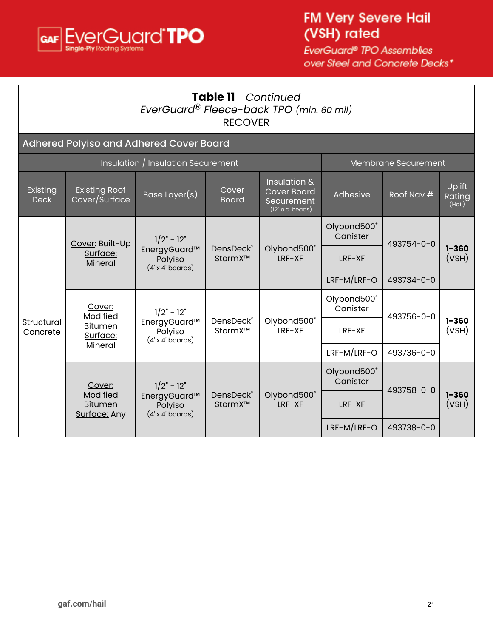

| <b>Table 11</b> - Continued<br>EverGuard® Fleece-back TPO (min. 60 mil)<br><b>RECOVER</b> |                                                             |                                                                             |                       |                                                                        |                         |                     |                            |  |  |
|-------------------------------------------------------------------------------------------|-------------------------------------------------------------|-----------------------------------------------------------------------------|-----------------------|------------------------------------------------------------------------|-------------------------|---------------------|----------------------------|--|--|
|                                                                                           | Adhered Polyiso and Adhered Cover Board                     |                                                                             |                       |                                                                        |                         |                     |                            |  |  |
|                                                                                           |                                                             | Insulation / Insulation Securement                                          |                       |                                                                        |                         | Membrane Securement |                            |  |  |
| Existing<br><b>Deck</b>                                                                   | <b>Existing Roof</b><br>Cover/Surface                       | Base Layer(s)                                                               | Cover<br><b>Board</b> | Insulation &<br><b>Cover Board</b><br>Securement<br>$(12"$ o.c. beads) | Adhesive                | Roof Nav #          | Uplift<br>Rating<br>(Hail) |  |  |
|                                                                                           | Cover: Built-Up<br>Surface:<br>Mineral                      | $1/2" - 12"$<br>EnergyGuard™<br>Polyiso<br>$(4' \times 4'$ boards)          | DensDeck®<br>StormX™  | Olybond500°<br>LRF-XF                                                  | Olybond500°<br>Canister | 493754-0-0          | $1 - 360$<br>(VSH)         |  |  |
|                                                                                           |                                                             |                                                                             |                       |                                                                        | $LRF-XF$                |                     |                            |  |  |
|                                                                                           |                                                             |                                                                             |                       |                                                                        | LRF-M/LRF-O             | 493734-0-0          |                            |  |  |
|                                                                                           | Cover:<br>Modified<br><b>Bitumen</b><br>Surface:<br>Mineral | $1/2" - 12"$<br>EnergyGuard™<br>Polyiso<br>$(4 x 4$ boards)                 | DensDeck®<br>StormX™  | Olybond500°<br>$LRF-XF$                                                | Olybond500®<br>Canister | 493756-0-0          |                            |  |  |
| Structural<br>Concrete                                                                    |                                                             |                                                                             |                       |                                                                        | $LRF-XF$                |                     | $1 - 360$<br>(VSH)         |  |  |
|                                                                                           |                                                             |                                                                             |                       |                                                                        | $LRF-M/LRF-O$           | 493736-0-0          |                            |  |  |
|                                                                                           | Cover:<br>Modified<br><b>Bitumen</b>                        | $1/2" - 12"$<br>EnergyGuard™<br>Polyiso<br>$(4 x 4$ boards)<br>Surface: Any | DensDeck®<br>StormX™  | Olybond500°<br>$LRF-XF$                                                | Olybond500°<br>Canister | 493758-0-0          | $1 - 360$<br>(VSH)         |  |  |
|                                                                                           |                                                             |                                                                             |                       |                                                                        | $LRF-XF$                |                     |                            |  |  |
|                                                                                           |                                                             |                                                                             |                       |                                                                        |                         | 493738-0-0          |                            |  |  |